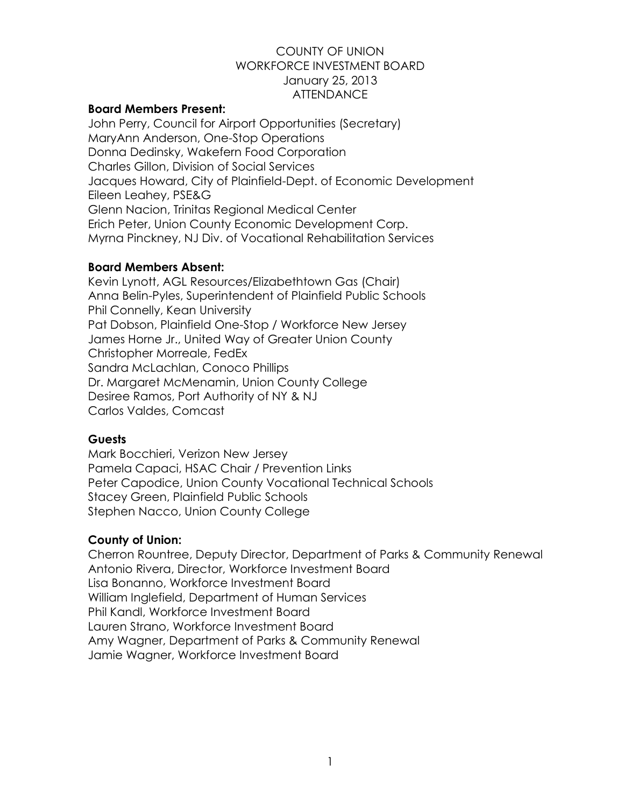# COUNTY OF UNION WORKFORCE INVESTMENT BOARD January 25, 2013 **ATTENDANCE**

# **Board Members Present:**

John Perry, Council for Airport Opportunities (Secretary) MaryAnn Anderson, One-Stop Operations Donna Dedinsky, Wakefern Food Corporation Charles Gillon, Division of Social Services Jacques Howard, City of Plainfield-Dept. of Economic Development Eileen Leahey, PSE&G Glenn Nacion, Trinitas Regional Medical Center Erich Peter, Union County Economic Development Corp. Myrna Pinckney, NJ Div. of Vocational Rehabilitation Services

# **Board Members Absent:**

Kevin Lynott, AGL Resources/Elizabethtown Gas (Chair) Anna Belin-Pyles, Superintendent of Plainfield Public Schools Phil Connelly, Kean University Pat Dobson, Plainfield One-Stop / Workforce New Jersey James Horne Jr., United Way of Greater Union County Christopher Morreale, FedEx Sandra McLachlan, Conoco Phillips Dr. Margaret McMenamin, Union County College Desiree Ramos, Port Authority of NY & NJ Carlos Valdes, Comcast

### **Guests**

Mark Bocchieri, Verizon New Jersey Pamela Capaci, HSAC Chair / Prevention Links Peter Capodice, Union County Vocational Technical Schools Stacey Green, Plainfield Public Schools Stephen Nacco, Union County College

# **County of Union:**

Cherron Rountree, Deputy Director, Department of Parks & Community Renewal Antonio Rivera, Director, Workforce Investment Board Lisa Bonanno, Workforce Investment Board William Inglefield, Department of Human Services Phil Kandl, Workforce Investment Board Lauren Strano, Workforce Investment Board Amy Wagner, Department of Parks & Community Renewal Jamie Wagner, Workforce Investment Board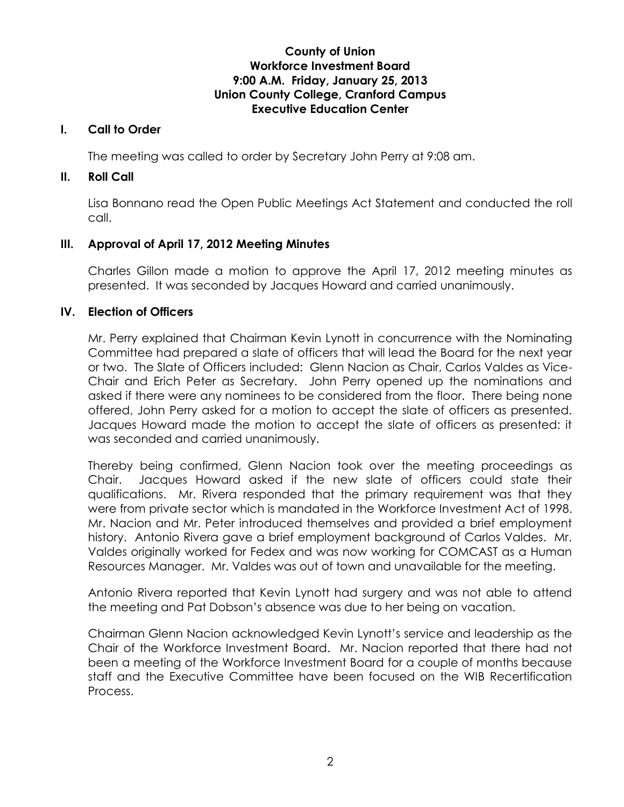# **County of Union Workforce Investment Board 9:00 A.M. Friday, January 25, 2013 Union County College, Cranford Campus Executive Education Center**

#### **I. Call to Order**

The meeting was called to order by Secretary John Perry at 9:08 am.

#### **II. Roll Call**

Lisa Bonnano read the Open Public Meetings Act Statement and conducted the roll call.

### **III. Approval of April 17, 2012 Meeting Minutes**

Charles Gillon made a motion to approve the April 17, 2012 meeting minutes as presented. It was seconded by Jacques Howard and carried unanimously.

### **IV. Election of Officers**

Mr. Perry explained that Chairman Kevin Lynott in concurrence with the Nominating Committee had prepared a slate of officers that will lead the Board for the next year or two. The Slate of Officers included: Glenn Nacion as Chair, Carlos Valdes as Vice-Chair and Erich Peter as Secretary. John Perry opened up the nominations and asked if there were any nominees to be considered from the floor. There being none offered, John Perry asked for a motion to accept the slate of officers as presented. Jacques Howard made the motion to accept the slate of officers as presented: it was seconded and carried unanimously.

Thereby being confirmed, Glenn Nacion took over the meeting proceedings as Chair. Jacques Howard asked if the new slate of officers could state their qualifications. Mr. Rivera responded that the primary requirement was that they were from private sector which is mandated in the Workforce Investment Act of 1998. Mr. Nacion and Mr. Peter introduced themselves and provided a brief employment history. Antonio Rivera gave a brief employment background of Carlos Valdes. Mr. Valdes originally worked for Fedex and was now working for COMCAST as a Human Resources Manager. Mr. Valdes was out of town and unavailable for the meeting.

Antonio Rivera reported that Kevin Lynott had surgery and was not able to attend the meeting and Pat Dobson's absence was due to her being on vacation.

Chairman Glenn Nacion acknowledged Kevin Lynott's service and leadership as the Chair of the Workforce Investment Board. Mr. Nacion reported that there had not been a meeting of the Workforce Investment Board for a couple of months because staff and the Executive Committee have been focused on the WIB Recertification Process.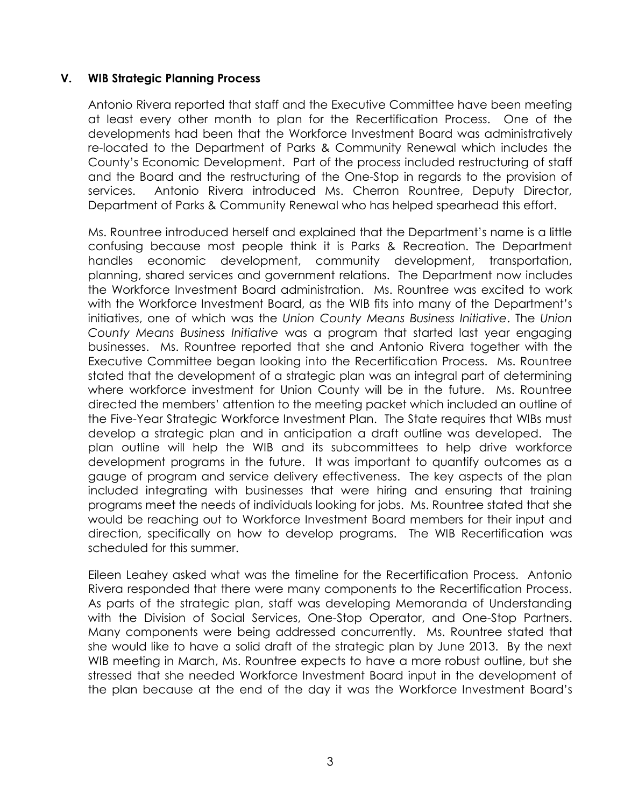### **V. WIB Strategic Planning Process**

Antonio Rivera reported that staff and the Executive Committee have been meeting at least every other month to plan for the Recertification Process. One of the developments had been that the Workforce Investment Board was administratively re-located to the Department of Parks & Community Renewal which includes the County's Economic Development. Part of the process included restructuring of staff and the Board and the restructuring of the One-Stop in regards to the provision of services. Antonio Rivera introduced Ms. Cherron Rountree, Deputy Director, Department of Parks & Community Renewal who has helped spearhead this effort.

Ms. Rountree introduced herself and explained that the Department's name is a little confusing because most people think it is Parks & Recreation. The Department handles economic development, community development, transportation, planning, shared services and government relations. The Department now includes the Workforce Investment Board administration. Ms. Rountree was excited to work with the Workforce Investment Board, as the WIB fits into many of the Department's initiatives, one of which was the *Union County Means Business Initiative*. The *Union County Means Business Initiative* was a program that started last year engaging businesses. Ms. Rountree reported that she and Antonio Rivera together with the Executive Committee began looking into the Recertification Process. Ms. Rountree stated that the development of a strategic plan was an integral part of determining where workforce investment for Union County will be in the future. Ms. Rountree directed the members' attention to the meeting packet which included an outline of the Five-Year Strategic Workforce Investment Plan. The State requires that WIBs must develop a strategic plan and in anticipation a draft outline was developed. The plan outline will help the WIB and its subcommittees to help drive workforce development programs in the future. It was important to quantify outcomes as a gauge of program and service delivery effectiveness. The key aspects of the plan included integrating with businesses that were hiring and ensuring that training programs meet the needs of individuals looking for jobs. Ms. Rountree stated that she would be reaching out to Workforce Investment Board members for their input and direction, specifically on how to develop programs. The WIB Recertification was scheduled for this summer.

Eileen Leahey asked what was the timeline for the Recertification Process. Antonio Rivera responded that there were many components to the Recertification Process. As parts of the strategic plan, staff was developing Memoranda of Understanding with the Division of Social Services, One-Stop Operator, and One-Stop Partners. Many components were being addressed concurrently. Ms. Rountree stated that she would like to have a solid draft of the strategic plan by June 2013. By the next WIB meeting in March, Ms. Rountree expects to have a more robust outline, but she stressed that she needed Workforce Investment Board input in the development of the plan because at the end of the day it was the Workforce Investment Board's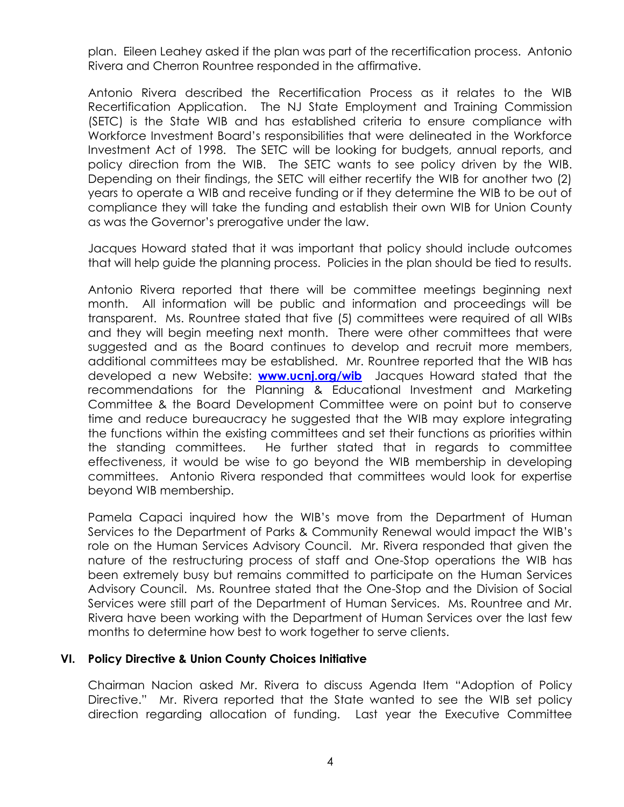plan. Eileen Leahey asked if the plan was part of the recertification process. Antonio Rivera and Cherron Rountree responded in the affirmative.

Antonio Rivera described the Recertification Process as it relates to the WIB Recertification Application. The NJ State Employment and Training Commission (SETC) is the State WIB and has established criteria to ensure compliance with Workforce Investment Board's responsibilities that were delineated in the Workforce Investment Act of 1998. The SETC will be looking for budgets, annual reports, and policy direction from the WIB. The SETC wants to see policy driven by the WIB. Depending on their findings, the SETC will either recertify the WIB for another two (2) years to operate a WIB and receive funding or if they determine the WIB to be out of compliance they will take the funding and establish their own WIB for Union County as was the Governor's prerogative under the law.

Jacques Howard stated that it was important that policy should include outcomes that will help guide the planning process. Policies in the plan should be tied to results.

Antonio Rivera reported that there will be committee meetings beginning next month. All information will be public and information and proceedings will be transparent. Ms. Rountree stated that five (5) committees were required of all WIBs and they will begin meeting next month. There were other committees that were suggested and as the Board continues to develop and recruit more members, additional committees may be established. Mr. Rountree reported that the WIB has developed a new Website: **[www.ucnj.org/wib](http://www.ucnj.org/wib)** Jacques Howard stated that the recommendations for the Planning & Educational Investment and Marketing Committee & the Board Development Committee were on point but to conserve time and reduce bureaucracy he suggested that the WIB may explore integrating the functions within the existing committees and set their functions as priorities within the standing committees. He further stated that in regards to committee effectiveness, it would be wise to go beyond the WIB membership in developing committees. Antonio Rivera responded that committees would look for expertise beyond WIB membership.

Pamela Capaci inquired how the WIB's move from the Department of Human Services to the Department of Parks & Community Renewal would impact the WIB's role on the Human Services Advisory Council. Mr. Rivera responded that given the nature of the restructuring process of staff and One-Stop operations the WIB has been extremely busy but remains committed to participate on the Human Services Advisory Council. Ms. Rountree stated that the One-Stop and the Division of Social Services were still part of the Department of Human Services. Ms. Rountree and Mr. Rivera have been working with the Department of Human Services over the last few months to determine how best to work together to serve clients.

### **VI. Policy Directive & Union County Choices Initiative**

Chairman Nacion asked Mr. Rivera to discuss Agenda Item "Adoption of Policy Directive." Mr. Rivera reported that the State wanted to see the WIB set policy direction regarding allocation of funding. Last year the Executive Committee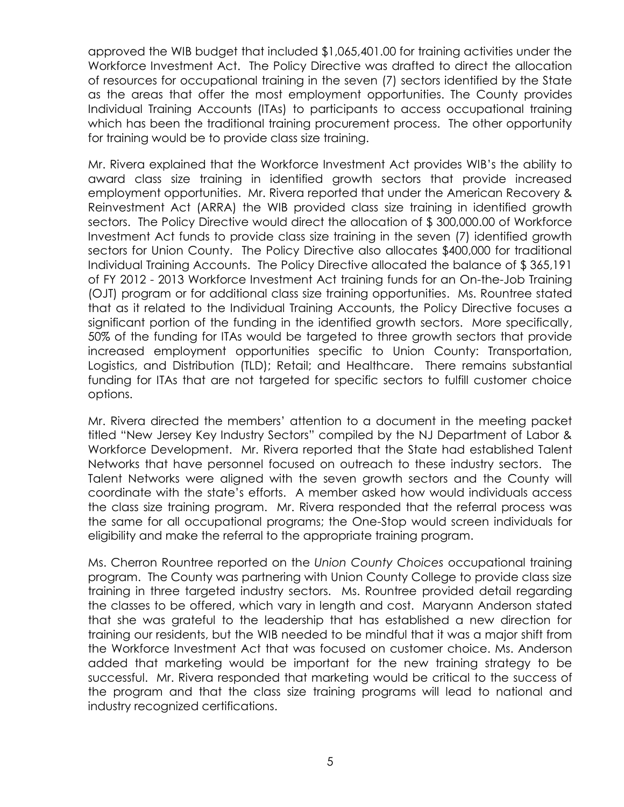approved the WIB budget that included \$1,065,401.00 for training activities under the Workforce Investment Act. The Policy Directive was drafted to direct the allocation of resources for occupational training in the seven (7) sectors identified by the State as the areas that offer the most employment opportunities. The County provides Individual Training Accounts (ITAs) to participants to access occupational training which has been the traditional training procurement process. The other opportunity for training would be to provide class size training.

Mr. Rivera explained that the Workforce Investment Act provides WIB's the ability to award class size training in identified growth sectors that provide increased employment opportunities. Mr. Rivera reported that under the American Recovery & Reinvestment Act (ARRA) the WIB provided class size training in identified growth sectors. The Policy Directive would direct the allocation of \$300,000.00 of Workforce Investment Act funds to provide class size training in the seven (7) identified growth sectors for Union County. The Policy Directive also allocates \$400,000 for traditional Individual Training Accounts. The Policy Directive allocated the balance of \$ 365,191 of FY 2012 - 2013 Workforce Investment Act training funds for an On-the-Job Training (OJT) program or for additional class size training opportunities. Ms. Rountree stated that as it related to the Individual Training Accounts, the Policy Directive focuses a significant portion of the funding in the identified growth sectors. More specifically, 50% of the funding for ITAs would be targeted to three growth sectors that provide increased employment opportunities specific to Union County: Transportation, Logistics, and Distribution (TLD); Retail; and Healthcare. There remains substantial funding for ITAs that are not targeted for specific sectors to fulfill customer choice options.

Mr. Rivera directed the members' attention to a document in the meeting packet titled "New Jersey Key Industry Sectors" compiled by the NJ Department of Labor & Workforce Development. Mr. Rivera reported that the State had established Talent Networks that have personnel focused on outreach to these industry sectors. The Talent Networks were aligned with the seven growth sectors and the County will coordinate with the state's efforts. A member asked how would individuals access the class size training program. Mr. Rivera responded that the referral process was the same for all occupational programs; the One-Stop would screen individuals for eligibility and make the referral to the appropriate training program.

Ms. Cherron Rountree reported on the *Union County Choices* occupational training program. The County was partnering with Union County College to provide class size training in three targeted industry sectors. Ms. Rountree provided detail regarding the classes to be offered, which vary in length and cost. Maryann Anderson stated that she was grateful to the leadership that has established a new direction for training our residents, but the WIB needed to be mindful that it was a major shift from the Workforce Investment Act that was focused on customer choice. Ms. Anderson added that marketing would be important for the new training strategy to be successful. Mr. Rivera responded that marketing would be critical to the success of the program and that the class size training programs will lead to national and industry recognized certifications.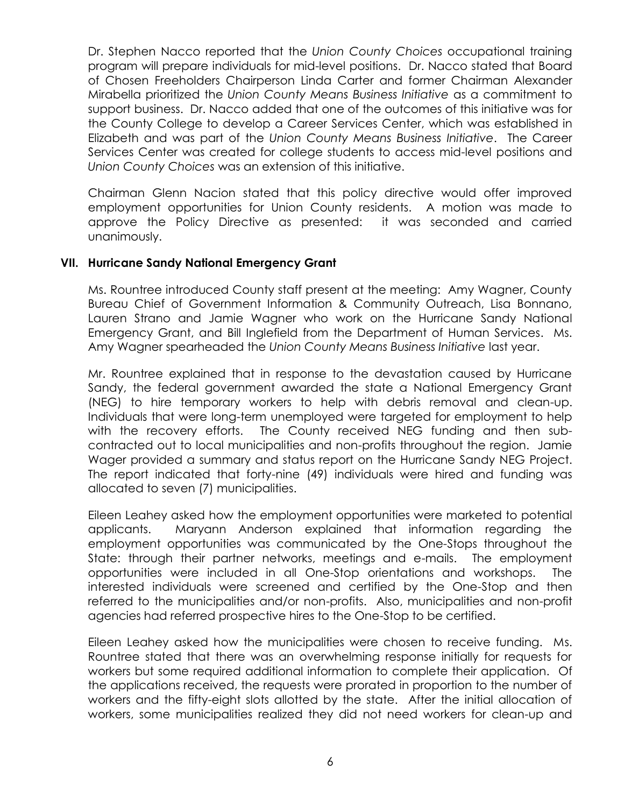Dr. Stephen Nacco reported that the *Union County Choices* occupational training program will prepare individuals for mid-level positions. Dr. Nacco stated that Board of Chosen Freeholders Chairperson Linda Carter and former Chairman Alexander Mirabella prioritized the *Union County Means Business Initiative* as a commitment to support business. Dr. Nacco added that one of the outcomes of this initiative was for the County College to develop a Career Services Center, which was established in Elizabeth and was part of the *Union County Means Business Initiative*. The Career Services Center was created for college students to access mid-level positions and *Union County Choices* was an extension of this initiative.

Chairman Glenn Nacion stated that this policy directive would offer improved employment opportunities for Union County residents. A motion was made to approve the Policy Directive as presented: it was seconded and carried unanimously.

### **VII. Hurricane Sandy National Emergency Grant**

Ms. Rountree introduced County staff present at the meeting: Amy Wagner, County Bureau Chief of Government Information & Community Outreach, Lisa Bonnano, Lauren Strano and Jamie Wagner who work on the Hurricane Sandy National Emergency Grant, and Bill Inglefield from the Department of Human Services. Ms. Amy Wagner spearheaded the *Union County Means Business Initiative* last year.

Mr. Rountree explained that in response to the devastation caused by Hurricane Sandy, the federal government awarded the state a National Emergency Grant (NEG) to hire temporary workers to help with debris removal and clean-up. Individuals that were long-term unemployed were targeted for employment to help with the recovery efforts. The County received NEG funding and then subcontracted out to local municipalities and non-profits throughout the region. Jamie Wager provided a summary and status report on the Hurricane Sandy NEG Project. The report indicated that forty-nine (49) individuals were hired and funding was allocated to seven (7) municipalities.

Eileen Leahey asked how the employment opportunities were marketed to potential applicants. Maryann Anderson explained that information regarding the employment opportunities was communicated by the One-Stops throughout the State: through their partner networks, meetings and e-mails. The employment opportunities were included in all One-Stop orientations and workshops. interested individuals were screened and certified by the One-Stop and then referred to the municipalities and/or non-profits. Also, municipalities and non-profit agencies had referred prospective hires to the One-Stop to be certified.

Eileen Leahey asked how the municipalities were chosen to receive funding. Ms. Rountree stated that there was an overwhelming response initially for requests for workers but some required additional information to complete their application. Of the applications received, the requests were prorated in proportion to the number of workers and the fifty-eight slots allotted by the state. After the initial allocation of workers, some municipalities realized they did not need workers for clean-up and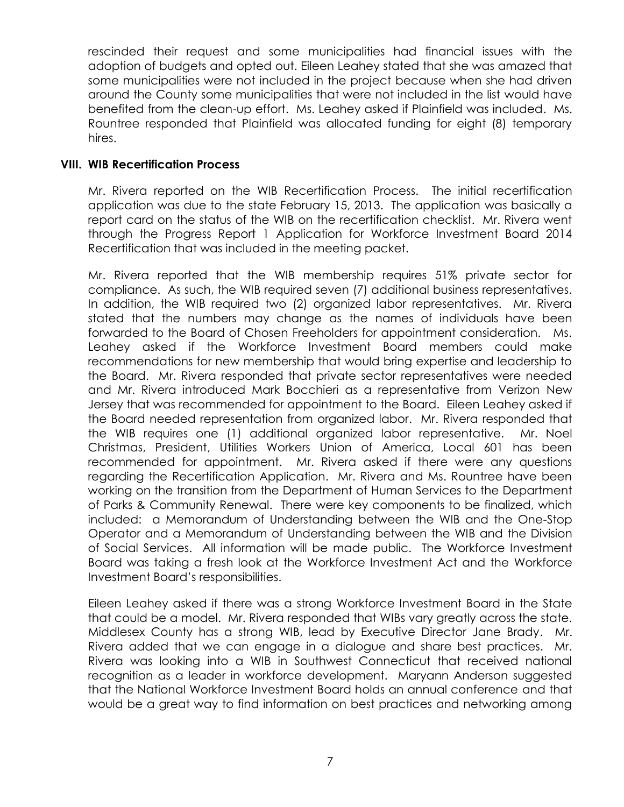rescinded their request and some municipalities had financial issues with the adoption of budgets and opted out. Eileen Leahey stated that she was amazed that some municipalities were not included in the project because when she had driven around the County some municipalities that were not included in the list would have benefited from the clean-up effort. Ms. Leahey asked if Plainfield was included. Ms. Rountree responded that Plainfield was allocated funding for eight (8) temporary hires.

#### **VIII. WIB Recertification Process**

Mr. Rivera reported on the WIB Recertification Process. The initial recertification application was due to the state February 15, 2013. The application was basically a report card on the status of the WIB on the recertification checklist. Mr. Rivera went through the Progress Report 1 Application for Workforce Investment Board 2014 Recertification that was included in the meeting packet.

Mr. Rivera reported that the WIB membership requires 51% private sector for compliance. As such, the WIB required seven (7) additional business representatives. In addition, the WIB required two (2) organized labor representatives. Mr. Rivera stated that the numbers may change as the names of individuals have been forwarded to the Board of Chosen Freeholders for appointment consideration. Ms. Leahey asked if the Workforce Investment Board members could make recommendations for new membership that would bring expertise and leadership to the Board. Mr. Rivera responded that private sector representatives were needed and Mr. Rivera introduced Mark Bocchieri as a representative from Verizon New Jersey that was recommended for appointment to the Board. Eileen Leahey asked if the Board needed representation from organized labor. Mr. Rivera responded that the WIB requires one (1) additional organized labor representative. Mr. Noel Christmas, President, Utilities Workers Union of America, Local 601 has been recommended for appointment. Mr. Rivera asked if there were any questions regarding the Recertification Application. Mr. Rivera and Ms. Rountree have been working on the transition from the Department of Human Services to the Department of Parks & Community Renewal. There were key components to be finalized, which included: a Memorandum of Understanding between the WIB and the One-Stop Operator and a Memorandum of Understanding between the WIB and the Division of Social Services. All information will be made public. The Workforce Investment Board was taking a fresh look at the Workforce Investment Act and the Workforce Investment Board's responsibilities.

Eileen Leahey asked if there was a strong Workforce Investment Board in the State that could be a model. Mr. Rivera responded that WIBs vary greatly across the state. Middlesex County has a strong WIB, lead by Executive Director Jane Brady. Mr. Rivera added that we can engage in a dialogue and share best practices. Mr. Rivera was looking into a WIB in Southwest Connecticut that received national recognition as a leader in workforce development. Maryann Anderson suggested that the National Workforce Investment Board holds an annual conference and that would be a great way to find information on best practices and networking among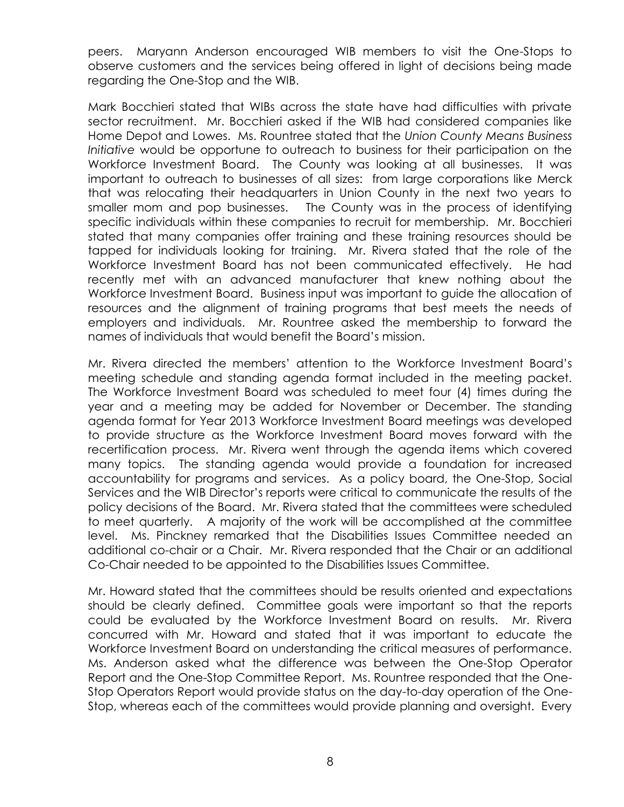peers. Maryann Anderson encouraged WIB members to visit the One-Stops to observe customers and the services being offered in light of decisions being made regarding the One-Stop and the WIB.

Mark Bocchieri stated that WIBs across the state have had difficulties with private sector recruitment. Mr. Bocchieri asked if the WIB had considered companies like Home Depot and Lowes. Ms. Rountree stated that the *Union County Means Business Initiative* would be opportune to outreach to business for their participation on the Workforce Investment Board. The County was looking at all businesses. It was important to outreach to businesses of all sizes: from large corporations like Merck that was relocating their headquarters in Union County in the next two years to smaller mom and pop businesses. The County was in the process of identifying specific individuals within these companies to recruit for membership. Mr. Bocchieri stated that many companies offer training and these training resources should be tapped for individuals looking for training. Mr. Rivera stated that the role of the Workforce Investment Board has not been communicated effectively. He had recently met with an advanced manufacturer that knew nothing about the Workforce Investment Board. Business input was important to guide the allocation of resources and the alignment of training programs that best meets the needs of employers and individuals. Mr. Rountree asked the membership to forward the names of individuals that would benefit the Board's mission.

Mr. Rivera directed the members' attention to the Workforce Investment Board's meeting schedule and standing agenda format included in the meeting packet. The Workforce Investment Board was scheduled to meet four (4) times during the year and a meeting may be added for November or December. The standing agenda format for Year 2013 Workforce Investment Board meetings was developed to provide structure as the Workforce Investment Board moves forward with the recertification process. Mr. Rivera went through the agenda items which covered many topics. The standing agenda would provide a foundation for increased accountability for programs and services. As a policy board, the One-Stop, Social Services and the WIB Director's reports were critical to communicate the results of the policy decisions of the Board. Mr. Rivera stated that the committees were scheduled to meet quarterly. A majority of the work will be accomplished at the committee level. Ms. Pinckney remarked that the Disabilities Issues Committee needed an additional co-chair or a Chair. Mr. Rivera responded that the Chair or an additional Co-Chair needed to be appointed to the Disabilities Issues Committee.

Mr. Howard stated that the committees should be results oriented and expectations should be clearly defined. Committee goals were important so that the reports could be evaluated by the Workforce Investment Board on results. Mr. Rivera concurred with Mr. Howard and stated that it was important to educate the Workforce Investment Board on understanding the critical measures of performance. Ms. Anderson asked what the difference was between the One-Stop Operator Report and the One-Stop Committee Report. Ms. Rountree responded that the One-Stop Operators Report would provide status on the day-to-day operation of the One-Stop, whereas each of the committees would provide planning and oversight. Every